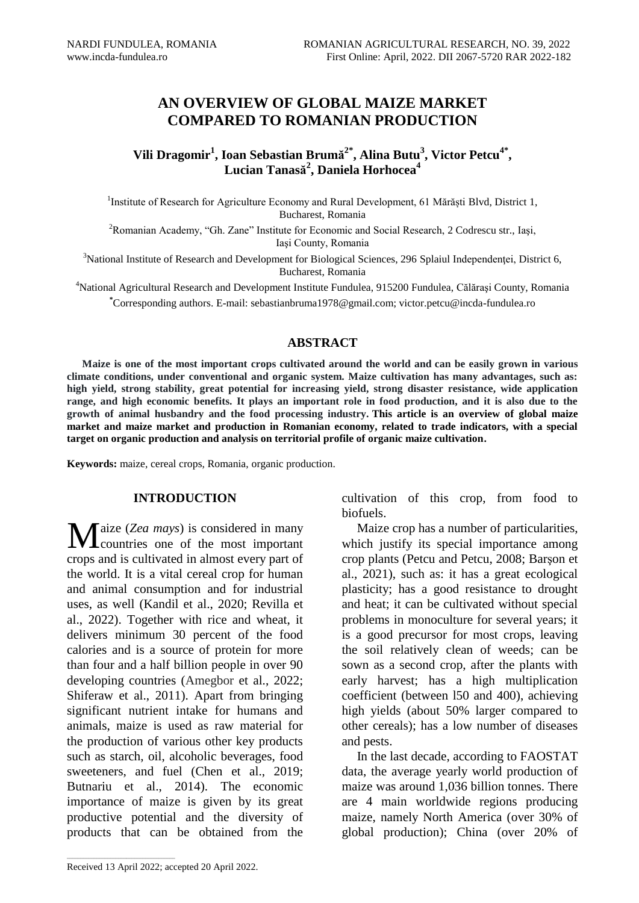# **AN OVERVIEW OF GLOBAL MAIZE MARKET COMPARED TO ROMANIAN PRODUCTION**

**Vili Dragomir<sup>1</sup> , Ioan Sebastian Brumă 2\*, Alina Butu<sup>3</sup> , Victor Petcu4\* , Lucian Tanasă 2 , Daniela Horhocea<sup>4</sup>**

<sup>1</sup>Institute of Research for Agriculture Economy and Rural Development, 61 Mărăști Blvd, District 1, Bucharest, Romania

<sup>2</sup>Romanian Academy, "Gh. Zane" Institute for Economic and Social Research, 2 Codrescu str., Iaşi, Iaşi County, Romania

<sup>3</sup>National Institute of Research and Development for Biological Sciences, 296 Splaiul Independenței, District 6, Bucharest, Romania

<sup>4</sup>National Agricultural Research and Development Institute Fundulea, 915200 Fundulea, Călăraşi County, Romania **\***Corresponding authors. E-mail: sebastianbruma1978@gmail.com; victor.petcu@incda-fundulea.ro

# **ABSTRACT**

**Maize is one of the most important crops cultivated around the world and can be easily grown in various climate conditions, under conventional and organic system. Maize cultivation has many advantages, such as: high yield, strong stability, great potential for increasing yield, strong disaster resistance, wide application range, and high economic benefits. It plays an important role in food production, and it is also due to the growth of animal husbandry and the food processing industry. This article is an overview of global maize market and maize market and production in Romanian economy, related to trade indicators, with a special target on organic production and analysis on territorial profile of organic maize cultivation.** 

**Keywords:** maize, cereal crops, Romania, organic production.

## **INTRODUCTION**

*T* aize (*Zea mays*) is considered in many Maize (Zea mays) is considered in many<br>countries one of the most important crops and is cultivated in almost every part of the world. It is a vital cereal crop for human and animal consumption and for industrial uses, as well (Kandil et al., 2020; Revilla et al., 2022). Together with rice and wheat, it delivers minimum 30 percent of the food calories and is a source of protein for more than four and a half billion people in over 90 developing countries (Amegbor et al., 2022; Shiferaw et al., 2011). Apart from bringing significant nutrient intake for humans and animals, maize is used as raw material for the production of various other key products such as starch, oil, alcoholic beverages, food sweeteners, and fuel (Chen et al., 2019; Butnariu et al., 2014). The economic importance of maize is given by its great productive potential and the diversity of products that can be obtained from the cultivation of this crop, from food to biofuels.

Maize crop has a number of particularities, which justify its special importance among crop plants (Petcu and Petcu, 2008; Barşon et al., 2021), such as: it has a great ecological plasticity; has a good resistance to drought and heat; it can be cultivated without special problems in monoculture for several years; it is a good precursor for most crops, leaving the soil relatively clean of weeds; can be sown as a second crop, after the plants with early harvest; has a high multiplication coefficient (between l50 and 400), achieving high yields (about 50% larger compared to other cereals); has a low number of diseases and pests.

In the last decade, according to FAOSTAT data, the average yearly world production of maize was around 1,036 billion tonnes. There are 4 main worldwide regions producing maize, namely North America (over 30% of global production); China (over 20% of

Received 13 April 2022; accepted 20 April 2022.

\_\_\_\_\_\_\_\_\_\_\_\_\_\_\_\_\_\_\_\_\_\_\_\_\_\_\_\_\_\_\_\_\_\_\_\_\_\_\_\_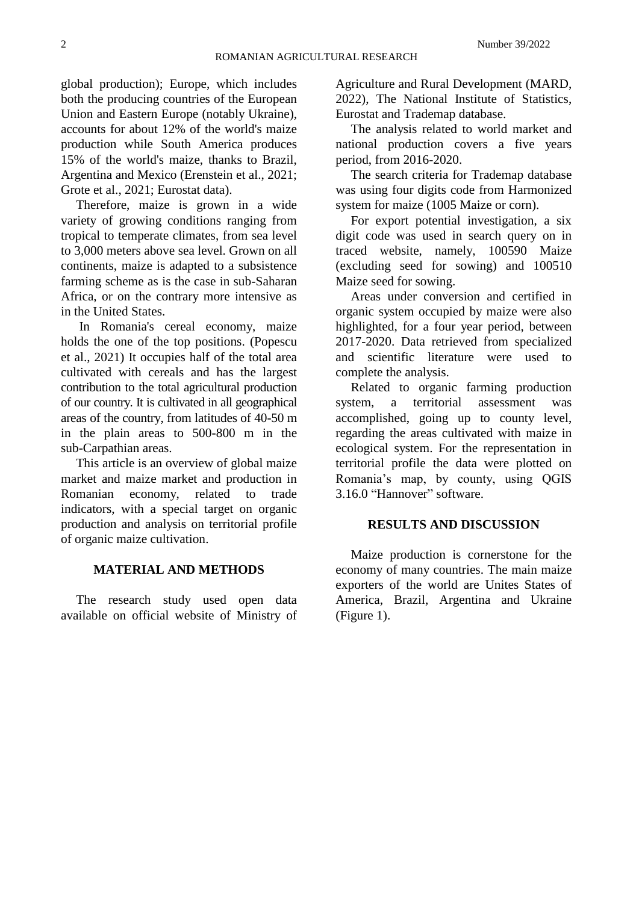global production); Europe, which includes both the producing countries of the European Union and Eastern Europe (notably Ukraine), accounts for about 12% of the world's maize production while South America produces 15% of the world's maize, thanks to Brazil, Argentina and Mexico (Erenstein et al., 2021; Grote et al., 2021; Eurostat data).

Therefore, maize is grown in a wide variety of growing conditions ranging from tropical to temperate climates, from sea level to 3,000 meters above sea level. Grown on all continents, maize is adapted to a subsistence farming scheme as is the case in sub-Saharan Africa, or on the contrary more intensive as in the United States.

In Romania's cereal economy, maize holds the one of the top positions. (Popescu et al., 2021) It occupies half of the total area cultivated with cereals and has the largest contribution to the total agricultural production of our country. It is cultivated in all geographical areas of the country, from latitudes of 40-50 m in the plain areas to 500-800 m in the sub-Carpathian areas.

This article is an overview of global maize market and maize market and production in Romanian economy, related to trade indicators, with a special target on organic production and analysis on territorial profile of organic maize cultivation.

# **MATERIAL AND METHODS**

The research study used open data available on official website of Ministry of

Agriculture and Rural Development (MARD, 2022), The National Institute of Statistics, Eurostat and Trademap database.

The analysis related to world market and national production covers a five years period, from 2016-2020.

The search criteria for Trademap database was using four digits code from Harmonized system for maize (1005 Maize or corn).

For export potential investigation, a six digit code was used in search query on in traced website, namely, 100590 Maize (excluding seed for sowing) and 100510 Maize seed for sowing.

Areas under conversion and certified in organic system occupied by maize were also highlighted, for a four year period, between 2017-2020. Data retrieved from specialized and scientific literature were used to complete the analysis.

Related to organic farming production system, a territorial assessment was accomplished, going up to county level, regarding the areas cultivated with maize in ecological system. For the representation in territorial profile the data were plotted on Romania's map, by county, using QGIS 3.16.0 "Hannover" software.

## **RESULTS AND DISCUSSION**

Maize production is cornerstone for the economy of many countries. The main maize exporters of the world are Unites States of America, Brazil, Argentina and Ukraine (Figure 1).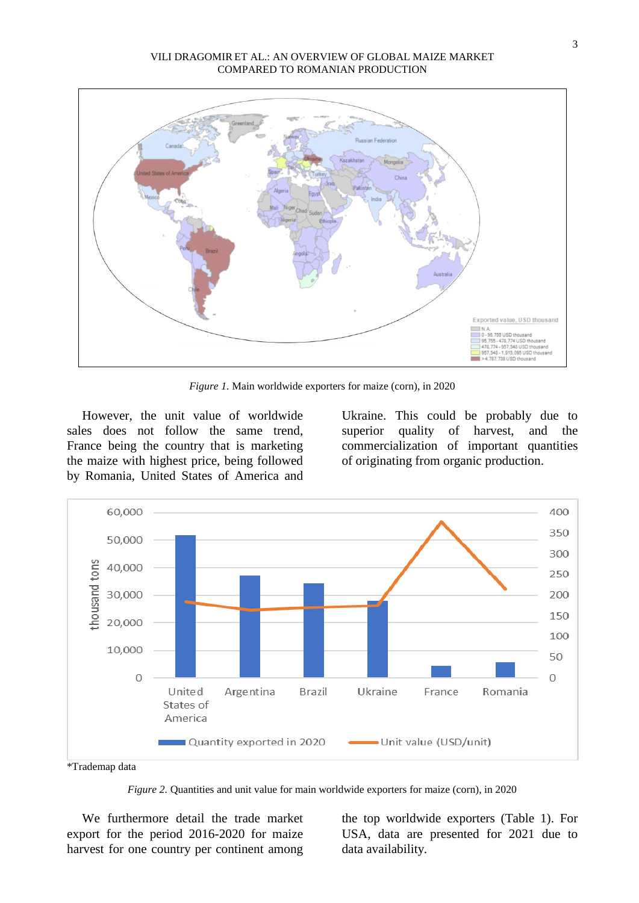

*Figure 1.* Main worldwide exporters for maize (corn), in 2020

However, the unit value of worldwide sales does not follow the same trend, France being the country that is marketing the maize with highest price, being followed by Romania, United States of America and

Ukraine. This could be probably due to superior quality of harvest, and the commercialization of important quantities of originating from organic production.



\*Trademap data

*Figure 2.* Quantities and unit value for main worldwide exporters for maize (corn), in 2020

We furthermore detail the trade market export for the period 2016-2020 for maize harvest for one country per continent among

the top worldwide exporters (Table 1). For USA, data are presented for 2021 due to data availability.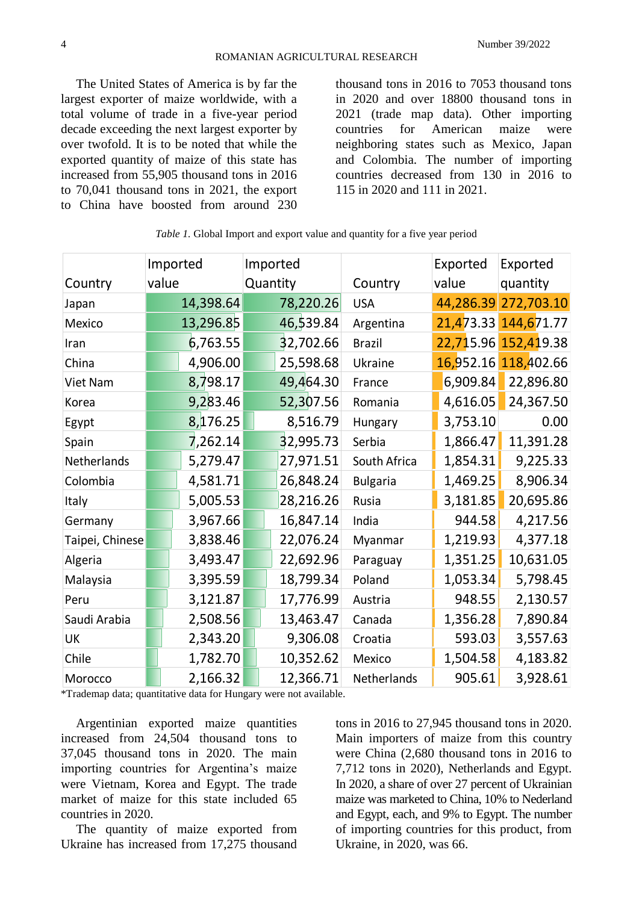The United States of America is by far the largest exporter of maize worldwide, with a total volume of trade in a five-year period decade exceeding the next largest exporter by over twofold. It is to be noted that while the exported quantity of maize of this state has increased from 55,905 thousand tons in 2016 to 70,041 thousand tons in 2021, the export to China have boosted from around 230

thousand tons in 2016 to 7053 thousand tons in 2020 and over 18800 thousand tons in 2021 (trade map data). Other importing countries for American maize were neighboring states such as Mexico, Japan and Colombia. The number of importing countries decreased from 130 in 2016 to 115 in 2020 and 111 in 2021.

|                 |       | Imported  | Imported |           |                 |       | Exported  | Exported             |  |
|-----------------|-------|-----------|----------|-----------|-----------------|-------|-----------|----------------------|--|
| Country         | value |           | Quantity |           | Country         | value |           | quantity             |  |
| Japan           |       | 14,398.64 |          | 78,220.26 | <b>USA</b>      |       | 44,286.39 | 272,703.10           |  |
| Mexico          |       | 13,296.85 |          | 46,539.84 | Argentina       |       |           | 21,473.33 144,671.77 |  |
| Iran            |       | 6,763.55  |          | 32,702.66 | <b>Brazil</b>   |       |           | 22,715.96 152,419.38 |  |
| China           |       | 4,906.00  |          | 25,598.68 | Ukraine         |       | 16,952.16 | 118,402.66           |  |
| Viet Nam        |       | 8,798.17  |          | 49,464.30 | France          |       | 6,909.84  | 22,896.80            |  |
| Korea           |       | 9,283.46  |          | 52,307.56 | Romania         |       | 4,616.05  | 24,367.50            |  |
| Egypt           |       | 8,176.25  |          | 8,516.79  | Hungary         |       | 3,753.10  | 0.00                 |  |
| Spain           |       | 7,262.14  |          | 32,995.73 | Serbia          |       | 1,866.47  | 11,391.28            |  |
| Netherlands     |       | 5,279.47  |          | 27,971.51 | South Africa    |       | 1,854.31  | 9,225.33             |  |
| Colombia        |       | 4,581.71  |          | 26,848.24 | <b>Bulgaria</b> |       | 1,469.25  | 8,906.34             |  |
| Italy           |       | 5,005.53  |          | 28,216.26 | Rusia           |       | 3,181.85  | 20,695.86            |  |
| Germany         |       | 3,967.66  |          | 16,847.14 | India           |       | 944.58    | 4,217.56             |  |
| Taipei, Chinese |       | 3,838.46  |          | 22,076.24 | Myanmar         |       | 1,219.93  | 4,377.18             |  |
| Algeria         |       | 3,493.47  |          | 22,692.96 | Paraguay        |       | 1,351.25  | 10,631.05            |  |
| Malaysia        |       | 3,395.59  |          | 18,799.34 | Poland          |       | 1,053.34  | 5,798.45             |  |
| Peru            |       | 3,121.87  |          | 17,776.99 | Austria         |       | 948.55    | 2,130.57             |  |
| Saudi Arabia    |       | 2,508.56  |          | 13,463.47 | Canada          |       | 1,356.28  | 7,890.84             |  |
| UK              |       | 2,343.20  |          | 9,306.08  | Croatia         |       | 593.03    | 3,557.63             |  |
| Chile           |       | 1,782.70  |          | 10,352.62 | Mexico          |       | 1,504.58  | 4,183.82             |  |
| Morocco         |       | 2,166.32  |          | 12,366.71 | Netherlands     |       | 905.61    | 3,928.61             |  |

| Table 1. Global Import and export value and quantity for a five year period |  |  |  |  |
|-----------------------------------------------------------------------------|--|--|--|--|
|-----------------------------------------------------------------------------|--|--|--|--|

\*Trademap data; quantitative data for Hungary were not available.

Argentinian exported maize quantities increased from 24,504 thousand tons to 37,045 thousand tons in 2020. The main importing countries for Argentina's maize were Vietnam, Korea and Egypt. The trade market of maize for this state included 65 countries in 2020.

The quantity of maize exported from Ukraine has increased from 17,275 thousand

tons in 2016 to 27,945 thousand tons in 2020. Main importers of maize from this country were China (2,680 thousand tons in 2016 to 7,712 tons in 2020), Netherlands and Egypt. In 2020, a share of over 27 percent of Ukrainian maize was marketed to China, 10% to Nederland and Egypt, each, and 9% to Egypt. The number of importing countries for this product, from Ukraine, in 2020, was 66.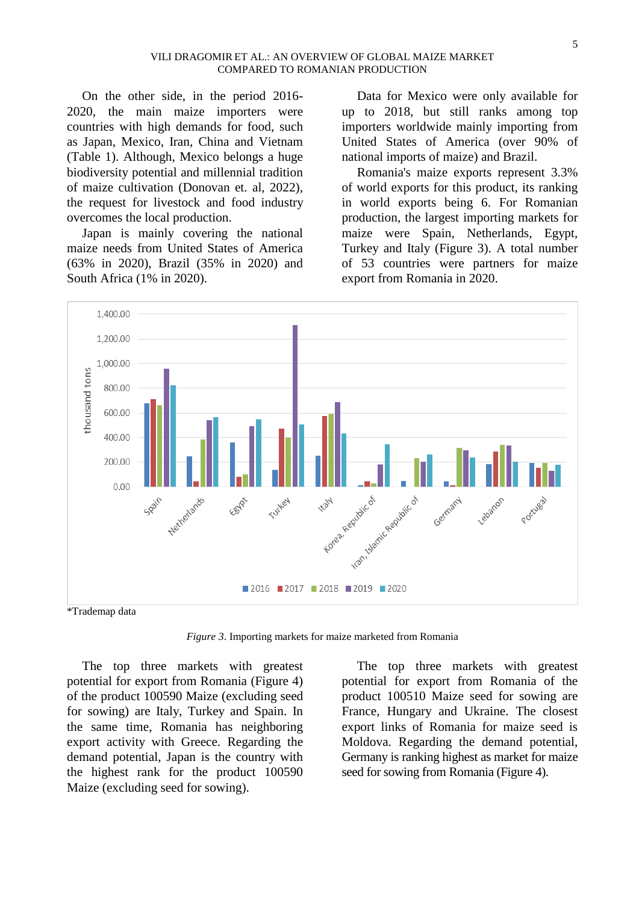On the other side, in the period 2016- 2020, the main maize importers were countries with high demands for food, such as Japan, Mexico, Iran, China and Vietnam (Table 1). Although, Mexico belongs a huge biodiversity potential and millennial tradition of maize cultivation (Donovan et. al, 2022), the request for livestock and food industry overcomes the local production.

Japan is mainly covering the national maize needs from United States of America (63% in 2020), Brazil (35% in 2020) and South Africa (1% in 2020).

Data for Mexico were only available for up to 2018, but still ranks among top importers worldwide mainly importing from United States of America (over 90% of national imports of maize) and Brazil.

Romania's maize exports represent 3.3% of world exports for this product, its ranking in world exports being 6. For Romanian production, the largest importing markets for maize were Spain, Netherlands, Egypt, Turkey and Italy (Figure 3). A total number of 53 countries were partners for maize export from Romania in 2020.



\*Trademap data

*Figure 3*. Importing markets for maize marketed from Romania

The top three markets with greatest potential for export from Romania (Figure 4) of the product 100590 Maize (excluding seed for sowing) are Italy, Turkey and Spain. In the same time, Romania has neighboring export activity with Greece. Regarding the demand potential, Japan is the country with the highest rank for the product 100590 Maize (excluding seed for sowing).

The top three markets with greatest potential for export from Romania of the product 100510 Maize seed for sowing are France, Hungary and Ukraine. The closest export links of Romania for maize seed is Moldova. Regarding the demand potential, Germany is ranking highest as market for maize seed for sowing from Romania (Figure 4).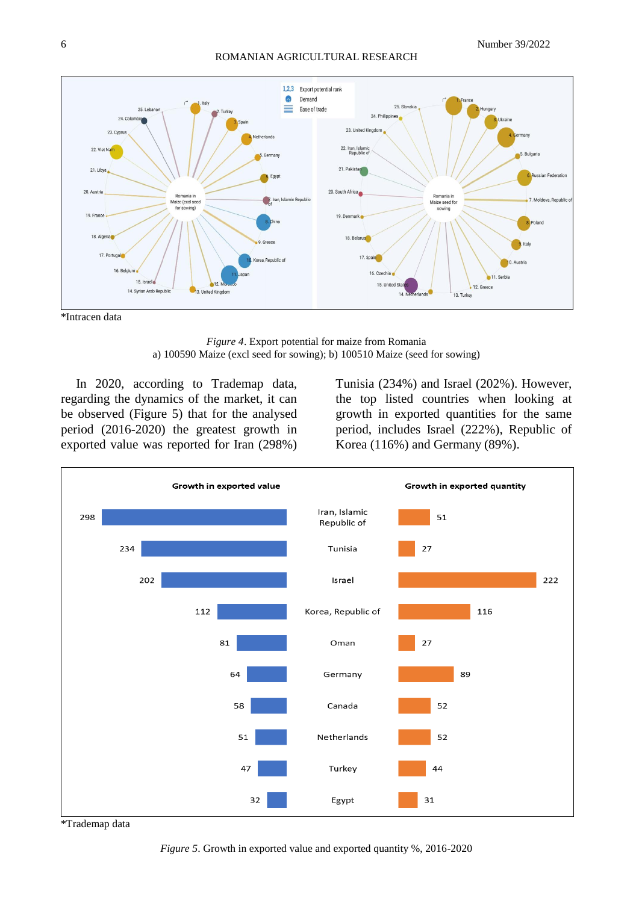#### ROMANIAN AGRICULTURAL RESEARCH



\*Intracen data

*Figure 4*. Export potential for maize from Romania a) 100590 Maize (excl seed for sowing); b) 100510 Maize (seed for sowing)

In 2020, according to Trademap data, regarding the dynamics of the market, it can be observed (Figure 5) that for the analysed period (2016-2020) the greatest growth in exported value was reported for Iran (298%) Tunisia (234%) and Israel (202%). However, the top listed countries when looking at growth in exported quantities for the same period, includes Israel (222%), Republic of Korea (116%) and Germany (89%).



\*Trademap data

*Figure 5*. Growth in exported value and exported quantity %, 2016-2020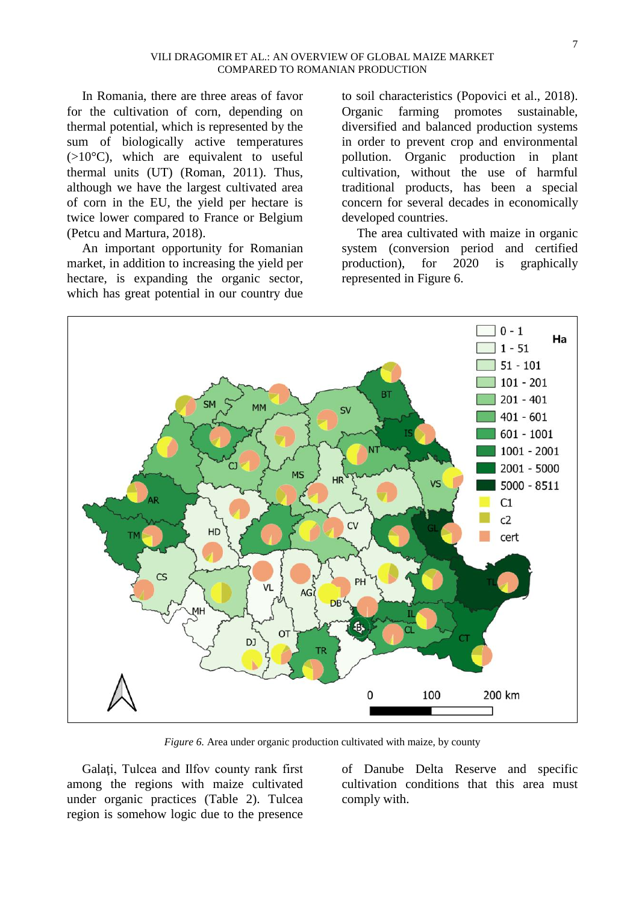In Romania, there are three areas of favor for the cultivation of corn, depending on thermal potential, which is represented by the sum of biologically active temperatures (>10°C), which are equivalent to useful thermal units (UT) (Roman, 2011). Thus, although we have the largest cultivated area of corn in the EU, the yield per hectare is twice lower compared to France or Belgium (Petcu and Martura, 2018).

An important opportunity for Romanian market, in addition to increasing the yield per hectare, is expanding the organic sector, which has great potential in our country due

to soil characteristics (Popovici et al., 2018). Organic farming promotes sustainable, diversified and balanced production systems in order to prevent crop and environmental pollution. Organic production in plant cultivation, without the use of harmful traditional products, has been a special concern for several decades in economically developed countries.

The area cultivated with maize in organic system (conversion period and certified production), for 2020 is graphically represented in Figure 6.



*Figure 6.* Area under organic production cultivated with maize, by county

Galați, Tulcea and Ilfov county rank first among the regions with maize cultivated under organic practices (Table 2). Tulcea region is somehow logic due to the presence of Danube Delta Reserve and specific cultivation conditions that this area must comply with.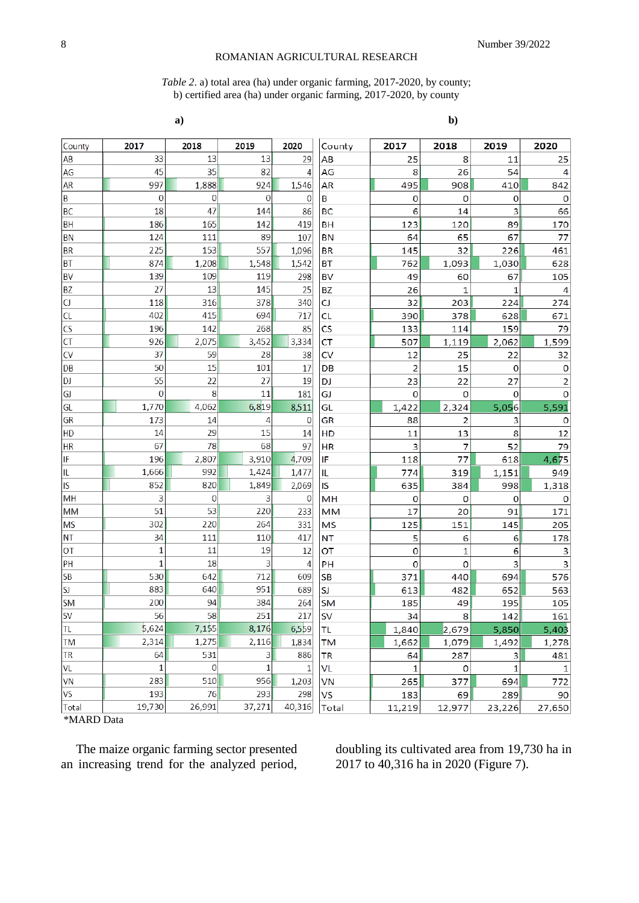## ROMANIAN AGRICULTURAL RESEARCH

#### *Table 2*. a) total area (ha) under organic farming, 2017-2020, by county; b) certified area (ha) under organic farming, 2017-2020, by county

| a) | $b$ ) |  |
|----|-------|--|
|    |       |  |

| County    | 2017         | 2018         | 2019             | 2020         | County    | 2017           | 2018           | 2019         | 2020           |
|-----------|--------------|--------------|------------------|--------------|-----------|----------------|----------------|--------------|----------------|
| AB        | 33           | 13           | 13               | 29           | AB        | 25             | 8              | 11           | 25             |
| AG        | 45           | 35           | 82               | 4            | AG        | 8              | 26             | 54           | 4              |
| AR        | 997          | 1,888        | 924              | 1,546        | AR        | 495            | 908            | 410          | 842            |
| B         | $\mathbf 0$  | $\mathbf 0$  | $\overline{0}$   | $\Omega$     | В         | 0              | 0              | 0            | 0              |
| BC        | 18           | 47           | 144              | 86           | <b>BC</b> | 6              | 14             | 3            | 66             |
| BH        | 186          | 165          | 142              | 419          | BH        | 123            | 120            | 89           | 170            |
| ΒN        | 124          | 111          | 89               | 107          | ΒN        | 64             | 65             | 67           | 77             |
| <b>BR</b> | 225          | 153          | 557              | 1,096        | <b>BR</b> | 145            | 32             | 226          | 461            |
| <b>BT</b> | 874          | 1,208        | 1,548            | 1,542        | ВT        | 762            | 1,093          | 1,030        | 628            |
| <b>BV</b> | 139          | 109          | 119              | 298          | <b>BV</b> | 49             | 60             | 67           | 105            |
| <b>BZ</b> | 27           | 13           | 145              | 25           | BZ        | 26             | 1              | $\mathbf{1}$ | 4              |
| CJ        | 118          | 316          | 378              | 340          | CJ        | 32             | 203            | 224          | 274            |
| CL        | 402          | 415          | 694              | 717          | CL        | 390            | 378            | 628          | 671            |
| <b>CS</b> | 196          | 142          | 268              | 85           | <b>CS</b> | 133            | 114            | 159          | 79             |
| <b>CT</b> | 926          | 2,075        | 3,452            | 3,334        | <b>CT</b> | 507            | 1,119          | 2,062        | 1,599          |
| <b>CV</b> | 37           | 59           | 28               | 38           | <b>CV</b> | 12             | 25             | 22           | 32             |
| DB        | 50           | 15           | 101              | 17           | DB        | $\overline{2}$ | 15             | $\circ$      | $\mathbf 0$    |
| DJ        | 55           | 22           | 27               | 19           | DJ        | 23             | 22             | 27           | $\overline{c}$ |
| GJ        | $\mathbf{0}$ | 8            | 11               | 181          | GJ        | $\circ$        | $\mathbf 0$    | $\mathbf 0$  | 0              |
| GL        | 1,770        | 4,062        | 6,819            | 8,511        | GL        | 1,422          | 2,324          | 5,056        | 5,591          |
| <b>GR</b> | 173          | 14           | 4                | $\mathbf{0}$ | GR        | 88             | $\overline{2}$ | 3            | $\mathbf 0$    |
| HD        | 14           | 29           | 15               | 14           | HD        | 11             | 13             | 8            | 12             |
| <b>HR</b> | 67           | 78           | 68               | 97           | HR        | 3              | $\overline{7}$ | 52           | 79             |
| IF        | 196          | 2,807        | 3,910            | 4,709        | IF        | 118            | 77             | 618          | 4,675          |
| IL        | 1,666        | 992          | 1,424            | 1,477        | IL        | 774            | 319            | 1,151        | 949            |
| IS        | 852          | 820          | 1,849            | 2,069        | IS        | 635            | 384            | 998          | 1,318          |
| MH        | 3            | $\mathbf{0}$ | 3                | $\mathbf 0$  | MH        | $\mathbf 0$    | 0              | 0            | 0              |
| <b>MM</b> | 51           | 53           | 220              | 233          | MM        | 17             | 20             | 91           | 171            |
| <b>MS</b> | 302          | 220          | 264              | 331          | MS        | 125            | 151            | 145          | 205            |
| <b>NT</b> | 34           | 111          | 110              | 417          | <b>NT</b> | 5              | 6              | 6            | 178            |
| <b>OT</b> | $\mathbf{1}$ | 11           | 19               | 12           | OT        | $\mathbf 0$    | $\mathbf{1}$   | 6            | 3              |
| PH        | $\mathbf{1}$ | 18           | $\overline{3}$   | 4            | PH        | $\mathbf 0$    | 0              | 3            | 3              |
| <b>SB</b> | 530          | 642          | 712              | 609          | <b>SB</b> | 371            | 440            | 694          | 576            |
| SJ        | 883          | 640          | 951              | 689          | SJ        | 613            | 482            | 652          | 563            |
| <b>SM</b> | 200          | 94           | 384              | 264          | SM        | 185            | 49             | 195          | 105            |
| <b>SV</b> | 56           | 58           | $\overline{251}$ | 217          | <b>SV</b> | 34             | 8              | 142          | 161            |
| <b>TL</b> | 5,624        | 7,155        | 8,176            | 6,559        | TL.       | 1,840          | 2,679          | 5,850        | 5,403          |
| <b>TM</b> | 2,314        | 1,275        | 2,116            | 1,834        | TM        | 1,662          | 1,079          | 1,492        | 1,278          |
| TR        | 64           | 531          | 3                | 886          | <b>TR</b> | 64             | 287            | 3            | 481            |
| VL        | $\mathbf{1}$ | $\mathbf 0$  | $\mathbf{1}$     | 1            | VL        | 1              | 0              | 1            | 1              |
| VN        | 283          | 510          | 956              | 1,203        | VN        | 265            | 377            | 694          | 772            |
| VS        | 193          | 76           | 293              | 298          | VS        | 183            | 69             | 289          | 90             |
| Total     | 19,730       | 26,991       | 37,271           | 40,316       | Total     | 11,219         | 12,977         | 23,226       | 27,650         |

\*MARD Data

The maize organic farming sector presented an increasing trend for the analyzed period, doubling its cultivated area from 19,730 ha in 2017 to 40,316 ha in 2020 (Figure 7).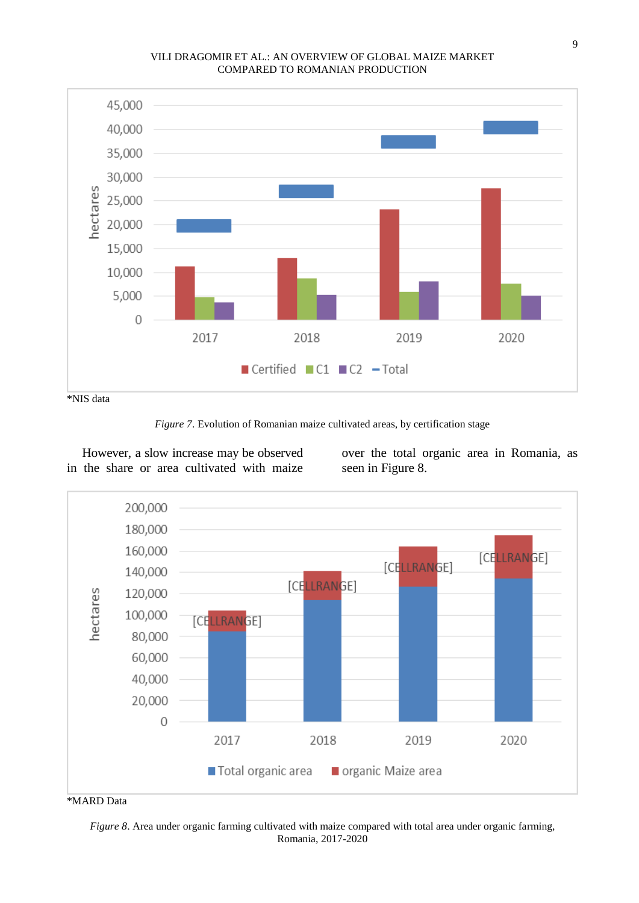## VILI DRAGOMIR ET AL.: AN OVERVIEW OF GLOBAL MAIZE MARKET COMPARED TO ROMANIAN PRODUCTION



\*NIS data



However, a slow increase may be observed in the share or area cultivated with maize

over the total organic area in Romania, as seen in Figure 8.



#### \*MARD Data

*Figure 8*. Area under organic farming cultivated with maize compared with total area under organic farming, Romania, 2017-2020